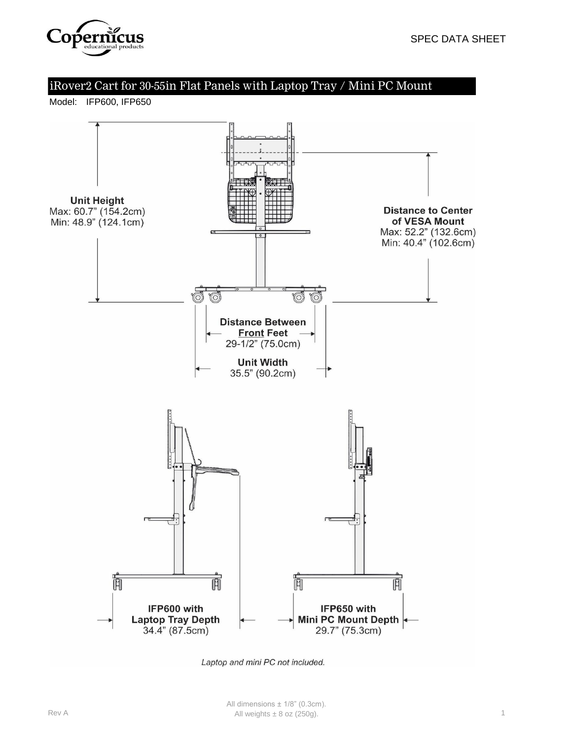

Model: IFP600, IFP650



Laptop and mini PC not included.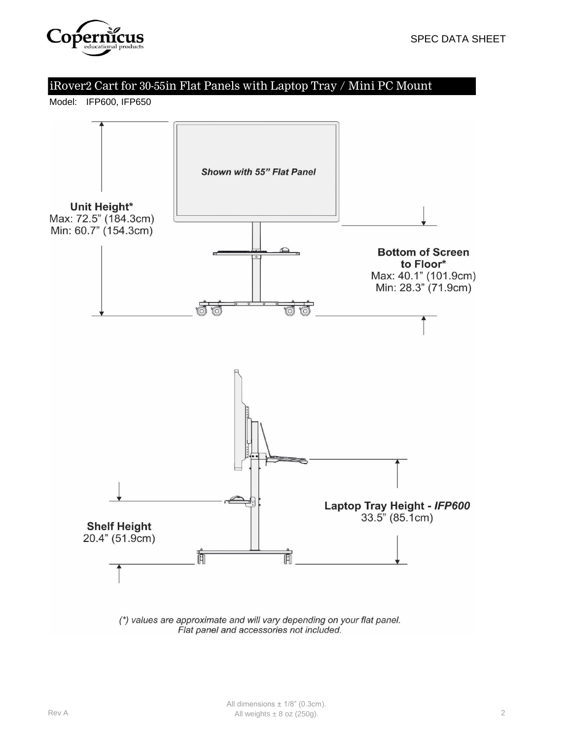

Model: IFP600, IFP650

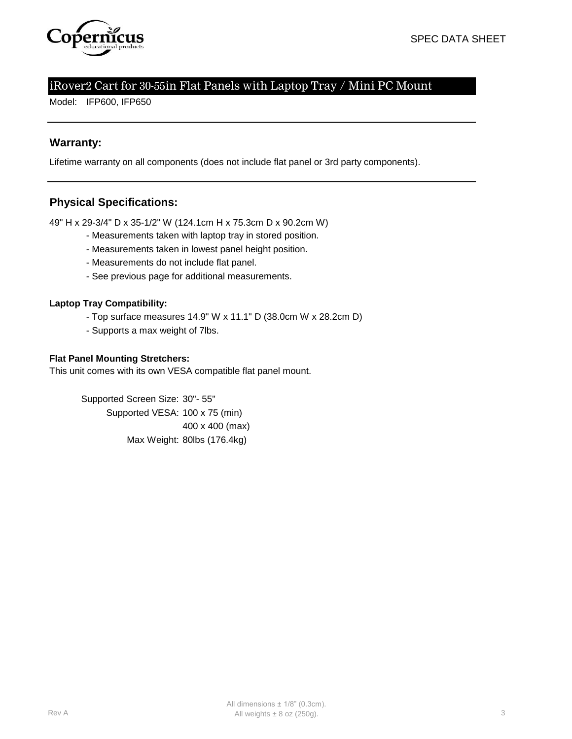

Model: IFP600, IFP650

## **Warranty:**

Lifetime warranty on all components (does not include flat panel or 3rd party components).

## **Physical Specifications:**

49" H x 29-3/4" D x 35-1/2" W (124.1cm H x 75.3cm D x 90.2cm W)

- Measurements taken with laptop tray in stored position.
- Measurements taken in lowest panel height position.
- Measurements do not include flat panel.
- See previous page for additional measurements.

#### **Laptop Tray Compatibility:**

- Top surface measures 14.9" W x 11.1" D (38.0cm W x 28.2cm D)
- Supports a max weight of 7lbs.

#### **Flat Panel Mounting Stretchers:**

This unit comes with its own VESA compatible flat panel mount.

Supported Screen Size: 30"- 55" Supported VESA: 100 x 75 (min) 400 x 400 (max) Max Weight: 80lbs (176.4kg)